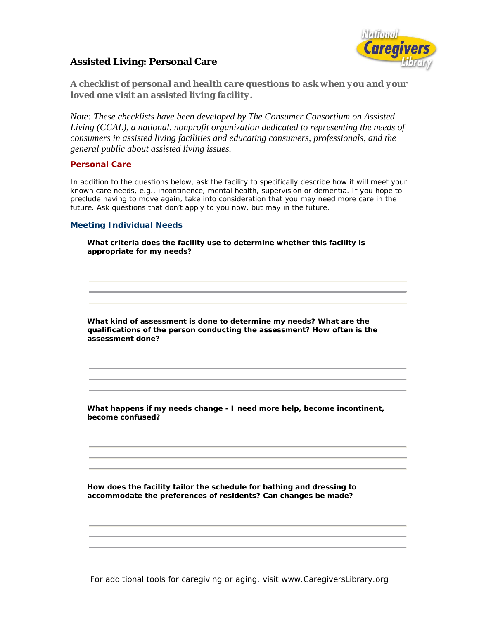

# **Assisted Living: Personal Care**

*A checklist of personal and health care questions to ask when you and your loved one visit an assisted living facility.* 

*Note: These checklists have been developed by The Consumer Consortium on Assisted Living (CCAL), a national, nonprofit organization dedicated to representing the needs of consumers in assisted living facilities and educating consumers, professionals, and the general public about assisted living issues.* 

# **Personal Care**

In addition to the questions below, ask the facility to specifically describe how it will meet your known care needs, e.g., incontinence, mental health, supervision or dementia. If you hope to preclude having to move again, take into consideration that you may need more care in the future. Ask questions that don't apply to you now, but may in the future.

# **Meeting Individual Needs**

 **What criteria does the facility use to determine whether this facility is appropriate for my needs?**

**What kind of assessment is done to determine my needs? What are the qualifications of the person conducting the assessment? How often is the assessment done?**

 **What happens if my needs change - I need more help, become incontinent, become confused?**

 **How does the facility tailor the schedule for bathing and dressing to accommodate the preferences of residents? Can changes be made?**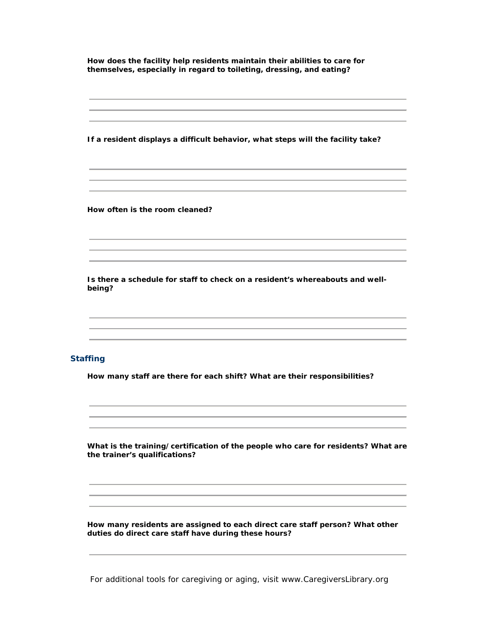**How does the facility help residents maintain their abilities to care for themselves, especially in regard to toileting, dressing, and eating?**

**If a resident displays a difficult behavior, what steps will the facility take?**

**How often is the room cleaned?**

 **Is there a schedule for staff to check on a resident's whereabouts and wellbeing?**

## **Staffing**

**How many staff are there for each shift? What are their responsibilities?**

 **What is the training/certification of the people who care for residents? What are the trainer's qualifications?**

 **How many residents are assigned to each direct care staff person? What other duties do direct care staff have during these hours?**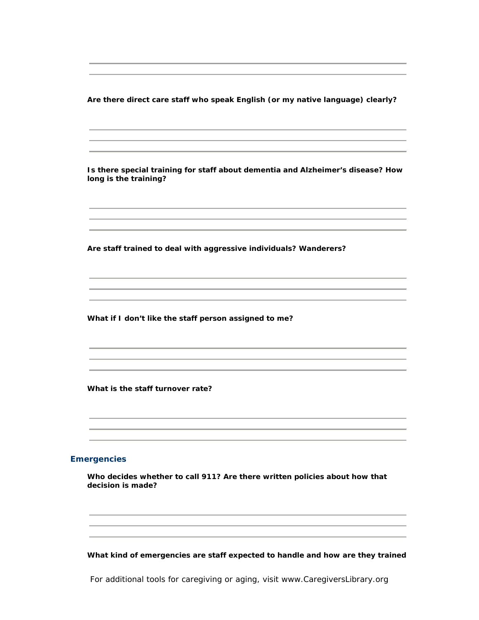**Are there direct care staff who speak English (or my native language) clearly?**

 **Is there special training for staff about dementia and Alzheimer's disease? How long is the training?**

**Are staff trained to deal with aggressive individuals? Wanderers?**

**What if I don't like the staff person assigned to me?**

**What is the staff turnover rate?**

#### **Emergencies**

 **Who decides whether to call 911? Are there written policies about how that decision is made?**

**What kind of emergencies are staff expected to handle and how are they trained**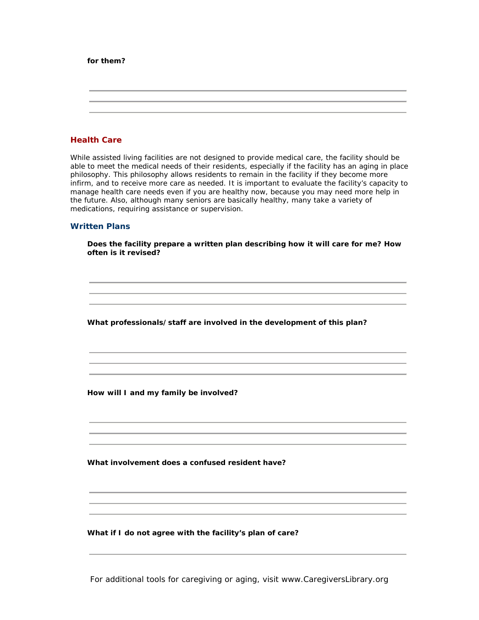### **for them?**

## **Health Care**

While assisted living facilities are not designed to provide medical care, the facility should be able to meet the medical needs of their residents, especially if the facility has an aging in place philosophy. This philosophy allows residents to remain in the facility if they become more infirm, and to receive more care as needed. It is important to evaluate the facility's capacity to manage health care needs even if you are healthy now, because you may need more help in the future. Also, although many seniors are basically healthy, many take a variety of medications, requiring assistance or supervision.

## **Written Plans**

 **Does the facility prepare a written plan describing how it will care for me? How often is it revised?** 

**What professionals/staff are involved in the development of this plan?**

**How will I and my family be involved?**

**What involvement does a confused resident have?**

**What if I do not agree with the facility's plan of care?**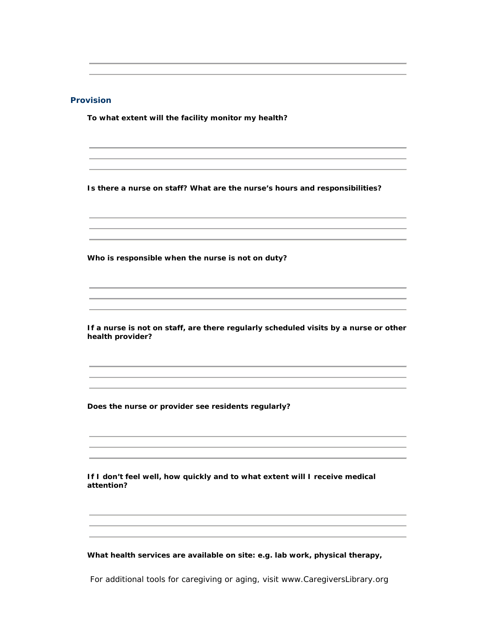# **Provision**

**To what extent will the facility monitor my health?**

**Is there a nurse on staff? What are the nurse's hours and responsibilities?**

**Who is responsible when the nurse is not on duty?**

 **If a nurse is not on staff, are there regularly scheduled visits by a nurse or other health provider?**

**Does the nurse or provider see residents regularly?**

 **If I don't feel well, how quickly and to what extent will I receive medical attention?**

**What health services are available on site: e.g. lab work, physical therapy,**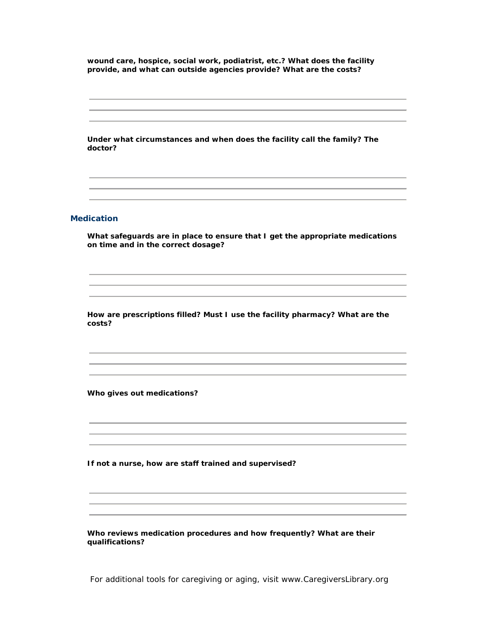**wound care, hospice, social work, podiatrist, etc.? What does the facility provide, and what can outside agencies provide? What are the costs?**

 **Under what circumstances and when does the facility call the family? The doctor?**

### **Medication**

 **What safeguards are in place to ensure that I get the appropriate medications on time and in the correct dosage?**

 **How are prescriptions filled? Must I use the facility pharmacy? What are the costs?**

**Who gives out medications?**

**If not a nurse, how are staff trained and supervised?**

 **Who reviews medication procedures and how frequently? What are their qualifications?**